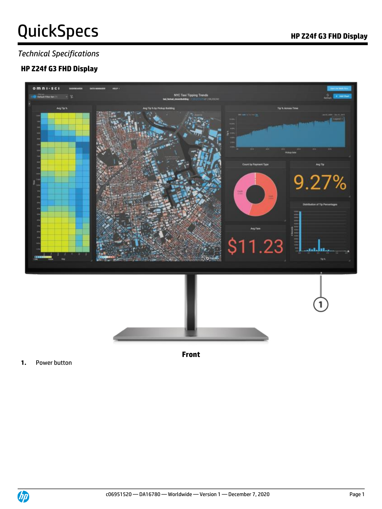# QuickSpecs **Manual Accord Contract Contract Out OC** HP Z24f G3 FHD Display

### *Technical Specifications*

### **HP Z24f G3 FHD Display**



**Front**

**1.** Power button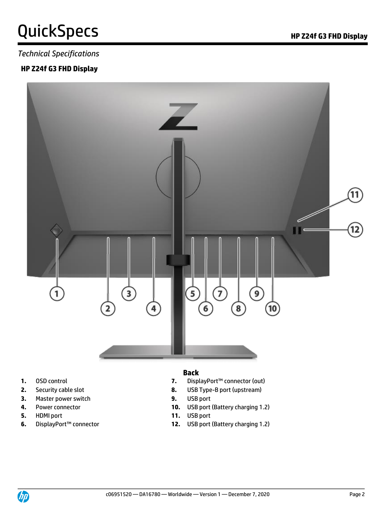## QuickSpecs **Manufature Contract Contract Contract Contract Contract Contract Contract Contract Contract Contract Contract Contract Contract Contract Contract Contract Contract Contract Contract Contract Contract Contract C**

#### *Technical Specifications*

#### **HP Z24f G3 FHD Display**



- 
- 
- **3.** Master power switch **9.** USB port
- 
- **5.** HDMI port **11.** USB port
- 

#### **Back**

- **1.** OSD control **7.** DisplayPort™ connector (out)
- **2.** Security cable slot **8.** USB Type-B port (upstream)
	-
- **4.** Power connector **10.** USB port (Battery charging 1.2)
	-
- **6.** DisplayPort™ connector **12.** USB port (Battery charging 1.2)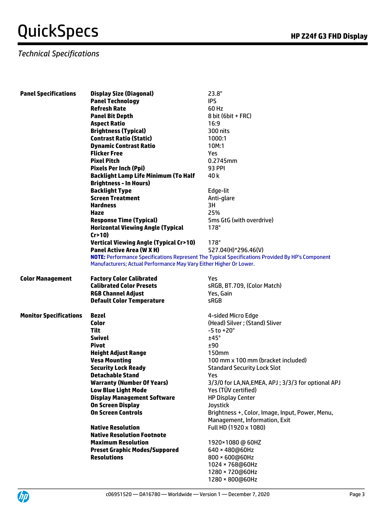### *Technical Specifications*

| <b>Panel Technology</b><br><b>IPS</b><br><b>Refresh Rate</b><br>60 Hz<br>8 bit (6 bit + FRC)<br><b>Panel Bit Depth</b><br><b>Aspect Ratio</b><br>16:9<br><b>Brightness (Typical)</b><br>300 nits |
|--------------------------------------------------------------------------------------------------------------------------------------------------------------------------------------------------|
|                                                                                                                                                                                                  |
|                                                                                                                                                                                                  |
|                                                                                                                                                                                                  |
|                                                                                                                                                                                                  |
|                                                                                                                                                                                                  |
| <b>Contrast Ratio (Static)</b><br>1000:1                                                                                                                                                         |
| <b>Dynamic Contrast Ratio</b><br>10M:1                                                                                                                                                           |
| <b>Flicker Free</b><br>Yes                                                                                                                                                                       |
| <b>Pixel Pitch</b><br>0.2745mm                                                                                                                                                                   |
| <b>93 PPI</b><br><b>Pixels Per Inch (Ppi)</b>                                                                                                                                                    |
| Backlight Lamp Life Minimum (To Half<br>40 k                                                                                                                                                     |
| <b>Brightness - In Hours)</b>                                                                                                                                                                    |
| <b>Backlight Type</b><br>Edge-lit                                                                                                                                                                |
| <b>Screen Treatment</b><br>Anti-glare                                                                                                                                                            |
| <b>Hardness</b><br>3H                                                                                                                                                                            |
| 25%<br><b>Haze</b>                                                                                                                                                                               |
| <b>Response Time (Typical)</b><br>5ms GtG (with overdrive)                                                                                                                                       |
| <b>Horizontal Viewing Angle (Typical</b><br>$178^\circ$                                                                                                                                          |
| Cr > 10                                                                                                                                                                                          |
| <b>Vertical Viewing Angle (Typical Cr&gt;10)</b><br>$178^\circ$                                                                                                                                  |
| <b>Panel Active Area (W X H)</b><br>527.04(H)*296.46(V)                                                                                                                                          |
| NOTE: Performance Specifications Represent The Typical Specifications Provided By HP's Component                                                                                                 |
| Manufacturers; Actual Performance May Vary Either Higher Or Lower.                                                                                                                               |
| <b>Color Management</b><br><b>Factory Color Calibrated</b><br>Yes                                                                                                                                |
| <b>Calibrated Color Presets</b><br>sRGB, BT.709, (Color Match)                                                                                                                                   |
| Yes, Gain<br><b>RGB Channel Adjust</b>                                                                                                                                                           |
| <b>Default Color Temperature</b><br><b>sRGB</b>                                                                                                                                                  |
| <b>Monitor Specifications</b><br>Bezel<br>4-sided Micro Edge                                                                                                                                     |
| (Head) Silver; (Stand) Sliver<br><b>Color</b>                                                                                                                                                    |
| <b>Tilt</b><br>$-5$ to $+20^{\circ}$                                                                                                                                                             |
| <b>Swivel</b><br>$±45^\circ$                                                                                                                                                                     |
| Pivot<br>±90                                                                                                                                                                                     |
| <b>Height Adjust Range</b><br>150mm                                                                                                                                                              |
|                                                                                                                                                                                                  |
| <b>Vesa Mounting</b><br>100 mm x 100 mm (bracket included)                                                                                                                                       |
| <b>Security Lock Ready</b><br><b>Standard Security Lock Slot</b>                                                                                                                                 |
| <b>Detachable Stand</b><br>Yes                                                                                                                                                                   |
| <b>Warranty (Number Of Years)</b><br>3/3/0 for LA, NA, EMEA, APJ; 3/3/3 for optional APJ                                                                                                         |
| Yes (TÜV certified)<br><b>Low Blue Light Mode</b>                                                                                                                                                |
| <b>HP Display Center</b><br><b>Display Management Software</b>                                                                                                                                   |
| <b>On Screen Display</b><br>Joystick                                                                                                                                                             |
| <b>On Screen Controls</b><br>Brightness +, Color, Image, Input, Power, Menu,                                                                                                                     |
| Management, Information, Exit                                                                                                                                                                    |
| Full HD (1920 x 1080)<br><b>Native Resolution</b>                                                                                                                                                |
| <b>Native Resolution Footnote</b>                                                                                                                                                                |
| <b>Maximum Resolution</b><br>1920×1080 @ 60HZ                                                                                                                                                    |
| <b>Preset Graphic Modes/Suppored</b><br>640 × 480@60Hz                                                                                                                                           |
| <b>Resolutions</b><br>800 × 600@60Hz                                                                                                                                                             |
| 1024 × 768@60Hz                                                                                                                                                                                  |
| 1280 × 720@60Hz                                                                                                                                                                                  |

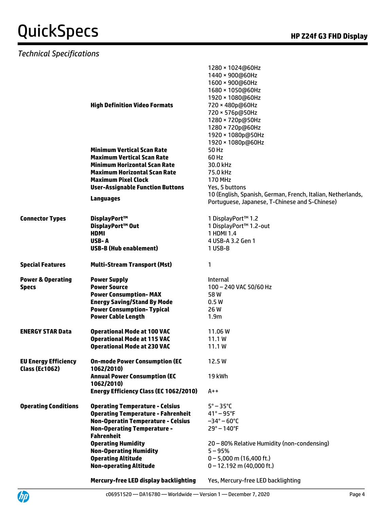### *Technical Specifications*

UP

|                                                      | <b>High Definition Video Formats</b>                        | 1280 × 1024@60Hz<br>1440 × 900@60Hz<br>1600 × 900@60Hz<br>1680 × 1050@60Hz<br>1920 × 1080@60Hz<br>720 × 480p@60Hz<br>720 × 576p@50Hz<br>1280 × 720p@50Hz<br>1280 × 720p@60Hz<br>1920 × 1080p@50Hz |
|------------------------------------------------------|-------------------------------------------------------------|---------------------------------------------------------------------------------------------------------------------------------------------------------------------------------------------------|
|                                                      |                                                             | 1920 × 1080p@60Hz                                                                                                                                                                                 |
|                                                      | <b>Minimum Vertical Scan Rate</b>                           | 50 Hz                                                                                                                                                                                             |
|                                                      | <b>Maximum Vertical Scan Rate</b>                           | 60 Hz                                                                                                                                                                                             |
|                                                      | <b>Minimum Horizontal Scan Rate</b>                         | 30.0 kHz                                                                                                                                                                                          |
|                                                      | <b>Maximum Horizontal Scan Rate</b>                         | 75.0 kHz                                                                                                                                                                                          |
|                                                      | <b>Maximum Pixel Clock</b>                                  | <b>170 MHz</b>                                                                                                                                                                                    |
|                                                      | <b>User-Assignable Function Buttons</b>                     | Yes, 5 buttons                                                                                                                                                                                    |
|                                                      |                                                             | 10 (English, Spanish, German, French, Italian, Netherlands,                                                                                                                                       |
|                                                      | Languages                                                   | Portuguese, Japanese, T-Chinese and S-Chinese)                                                                                                                                                    |
|                                                      |                                                             |                                                                                                                                                                                                   |
| <b>Connector Types</b>                               | DisplayPort™                                                | 1 DisplayPort™ 1.2                                                                                                                                                                                |
|                                                      | DisplayPort™ Out                                            | 1 DisplayPort™ 1.2-out                                                                                                                                                                            |
|                                                      | <b>HDMI</b><br>USB-A                                        | 1 HDMI 1.4                                                                                                                                                                                        |
|                                                      |                                                             | 4 USB-A 3.2 Gen 1                                                                                                                                                                                 |
|                                                      | <b>USB-B (Hub enablement)</b>                               | 1 USB-B                                                                                                                                                                                           |
| <b>Special Features</b>                              | <b>Multi-Stream Transport (Mst)</b>                         | 1                                                                                                                                                                                                 |
| <b>Power &amp; Operating</b>                         | <b>Power Supply</b>                                         | <b>Internal</b>                                                                                                                                                                                   |
| <b>Specs</b>                                         | <b>Power Source</b>                                         | 100 - 240 VAC 50/60 Hz                                                                                                                                                                            |
|                                                      | <b>Power Consumption-MAX</b>                                | 58 W                                                                                                                                                                                              |
|                                                      | <b>Energy Saving/Stand By Mode</b>                          | 0.5W                                                                                                                                                                                              |
|                                                      | <b>Power Consumption- Typical</b>                           | 26 W                                                                                                                                                                                              |
|                                                      | <b>Power Cable Length</b>                                   | 1.9 <sub>m</sub>                                                                                                                                                                                  |
| <b>ENERGY STAR Data</b>                              | <b>Operational Mode at 100 VAC</b>                          | 11.06 W                                                                                                                                                                                           |
|                                                      | <b>Operational Mode at 115 VAC</b>                          | 11.1 W                                                                                                                                                                                            |
|                                                      | <b>Operational Mode at 230 VAC</b>                          | 11.1 W                                                                                                                                                                                            |
|                                                      |                                                             |                                                                                                                                                                                                   |
| <b>EU Energy Efficiency</b><br><b>Class (Ec1062)</b> | <b>On-mode Power Consumption (EC</b><br>1062/2010)          | 12.5 W                                                                                                                                                                                            |
|                                                      | <b>Annual Power Consumption (EC</b>                         | <b>19 kWh</b>                                                                                                                                                                                     |
|                                                      | 1062/2010)<br><b>Energy Efficiency Class (EC 1062/2010)</b> | $A++$                                                                                                                                                                                             |
|                                                      |                                                             |                                                                                                                                                                                                   |
| <b>Operating Conditions</b>                          | <b>Operating Temperature - Celsius</b>                      | $5^\circ - 35^\circ C$                                                                                                                                                                            |
|                                                      | <b>Operating Temperature - Fahrenheit</b>                   | $41^\circ - 95^\circ F$                                                                                                                                                                           |
|                                                      | <b>Non-Operatin Temperature - Celsius</b>                   | $-34^{\circ} - 60^{\circ}$ C                                                                                                                                                                      |
|                                                      | <b>Non-Operating Temperature -</b>                          | $29^{\circ} - 140^{\circ}F$                                                                                                                                                                       |
|                                                      | <b>Fahrenheit</b>                                           |                                                                                                                                                                                                   |
|                                                      | <b>Operating Humidity</b>                                   | 20 - 80% Relative Humidity (non-condensing)                                                                                                                                                       |
|                                                      | <b>Non-Operating Humidity</b>                               | $5 - 95%$                                                                                                                                                                                         |
|                                                      | <b>Operating Altitude</b>                                   | $0 - 5,000$ m (16,400 ft.)                                                                                                                                                                        |
|                                                      | <b>Non-operating Altitude</b>                               | $0 - 12.192$ m (40,000 ft.)                                                                                                                                                                       |
|                                                      |                                                             |                                                                                                                                                                                                   |

**Mercury-free LED display backlighting** Yes, Mercury-free LED backlighting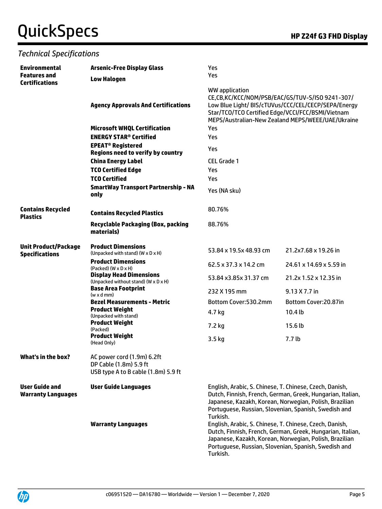### *Technical Specifications*

| <b>Environmental</b>                                 | <b>Arsenic-Free Display Glass</b>                                                           | Yes                                                                                                                                                                                                                                                                                                                                                                          |                                                                                                          |  |
|------------------------------------------------------|---------------------------------------------------------------------------------------------|------------------------------------------------------------------------------------------------------------------------------------------------------------------------------------------------------------------------------------------------------------------------------------------------------------------------------------------------------------------------------|----------------------------------------------------------------------------------------------------------|--|
| <b>Features</b> and<br><b>Certifications</b>         | <b>Low Halogen</b>                                                                          | Yes                                                                                                                                                                                                                                                                                                                                                                          |                                                                                                          |  |
|                                                      | <b>Agency Approvals And Certifications</b>                                                  | WW application<br>CE,CB,KC/KCC/NOM/PSB/EAC/GS/TUV-S/ISO 9241-307/<br>Star/TCO/TCO Certified Edge/VCCI/FCC/BSMI/Vietnam                                                                                                                                                                                                                                                       | Low Blue Light/ BIS/cTUVus/CCC/CEL/CECP/SEPA/Energy<br>MEPS/Australian-New Zealand MEPS/WEEE/UAE/Ukraine |  |
|                                                      | <b>Microsoft WHQL Certification</b>                                                         | Yes<br>Yes                                                                                                                                                                                                                                                                                                                                                                   |                                                                                                          |  |
|                                                      | <b>ENERGY STAR<sup>®</sup> Certified</b>                                                    |                                                                                                                                                                                                                                                                                                                                                                              |                                                                                                          |  |
|                                                      | <b>EPEAT<sup>®</sup> Registered</b><br><b>Regions need to verify by country</b>             | Yes                                                                                                                                                                                                                                                                                                                                                                          |                                                                                                          |  |
|                                                      | <b>China Energy Label</b>                                                                   | <b>CEL Grade 1</b>                                                                                                                                                                                                                                                                                                                                                           |                                                                                                          |  |
|                                                      | <b>TCO Certified Edge</b>                                                                   | Yes                                                                                                                                                                                                                                                                                                                                                                          |                                                                                                          |  |
|                                                      | <b>TCO Certified</b>                                                                        | Yes                                                                                                                                                                                                                                                                                                                                                                          |                                                                                                          |  |
|                                                      | <b>SmartWay Transport Partnership - NA</b><br>only                                          | Yes (NA sku)                                                                                                                                                                                                                                                                                                                                                                 |                                                                                                          |  |
| <b>Contains Recycled</b><br><b>Plastics</b>          | <b>Contains Recycled Plastics</b>                                                           | 80.76%                                                                                                                                                                                                                                                                                                                                                                       |                                                                                                          |  |
|                                                      | <b>Recyclable Packaging (Box, packing</b><br>materials)                                     | 88.76%                                                                                                                                                                                                                                                                                                                                                                       |                                                                                                          |  |
| <b>Unit Product/Package</b><br><b>Specifications</b> | <b>Product Dimensions</b><br>(Unpacked with stand) (W x D x H)                              | 53.84 x 19.5x 48.93 cm                                                                                                                                                                                                                                                                                                                                                       | 21.2x7.68 x 19.26 in                                                                                     |  |
|                                                      | <b>Product Dimensions</b><br>$(Packed)$ $(W \times D \times H)$                             | 62.5 x 37.3 x 14.2 cm                                                                                                                                                                                                                                                                                                                                                        | 24.61 x 14.69 x 5.59 in                                                                                  |  |
|                                                      | <b>Display Head Dimensions</b><br>(Unpacked without stand) (W x D x H)                      | 53.84 x3.85x 31.37 cm                                                                                                                                                                                                                                                                                                                                                        | 21.2x 1.52 x 12.35 in                                                                                    |  |
|                                                      | <b>Base Area Footprint</b><br>$(w \times d$ mm)                                             | 232 X 195 mm                                                                                                                                                                                                                                                                                                                                                                 | 9.13 X 7.7 in                                                                                            |  |
|                                                      | <b>Bezel Measurements - Metric</b>                                                          | Bottom Cover:530.2mm                                                                                                                                                                                                                                                                                                                                                         | Bottom Cover:20.87in                                                                                     |  |
|                                                      | <b>Product Weight</b><br>(Unpacked with stand)                                              | 4.7 kg                                                                                                                                                                                                                                                                                                                                                                       | 10.4 <sub>lb</sub>                                                                                       |  |
|                                                      | <b>Product Weight</b><br>(Packed)                                                           | 7.2 kg                                                                                                                                                                                                                                                                                                                                                                       | 15.6 <sub>lb</sub>                                                                                       |  |
|                                                      | <b>Product Weight</b><br>(Head Only)                                                        | 3.5 kg                                                                                                                                                                                                                                                                                                                                                                       | 7.7 <sub>lb</sub>                                                                                        |  |
| What's in the box?                                   | AC power cord (1.9m) 6.2ft<br>DP Cable (1.8m) 5.9 ft<br>USB type A to B cable (1.8m) 5.9 ft |                                                                                                                                                                                                                                                                                                                                                                              |                                                                                                          |  |
| <b>User Guide and</b><br><b>Warranty Languages</b>   | <b>User Guide Languages</b><br><b>Warranty Languages</b>                                    | English, Arabic, S. Chinese, T. Chinese, Czech, Danish,<br>Dutch, Finnish, French, German, Greek, Hungarian, Italian,<br>Japanese, Kazakh, Korean, Norwegian, Polish, Brazilian<br>Portuguese, Russian, Slovenian, Spanish, Swedish and<br>Turkish.<br>English, Arabic, S. Chinese, T. Chinese, Czech, Danish,<br>Dutch, Finnish, French, German, Greek, Hungarian, Italian, |                                                                                                          |  |
|                                                      |                                                                                             | Japanese, Kazakh, Korean, Norwegian, Polish, Brazilian<br>Portuguese, Russian, Slovenian, Spanish, Swedish and<br>Turkish.                                                                                                                                                                                                                                                   |                                                                                                          |  |

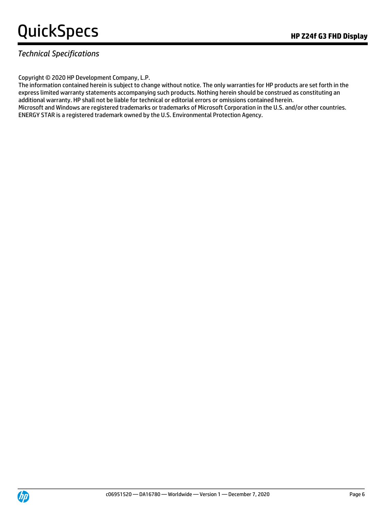# QuickSpecs **Manufature Contract Contract Contract Contract Contract Contract Contract Contract Contract Contract Contract Contract Contract Contract Contract Contract Contract Contract Contract Contract Contract Contract C**

### *Technical Specifications*

Copyright © 2020 HP Development Company, L.P.

The information contained herein is subject to change without notice. The only warranties for HP products are set forth in the express limited warranty statements accompanying such products. Nothing herein should be construed as constituting an additional warranty. HP shall not be liable for technical or editorial errors or omissions contained herein. Microsoft and Windows are registered trademarks or trademarks of Microsoft Corporation in the U.S. and/or other countries. ENERGY STAR is a registered trademark owned by the U.S. Environmental Protection Agency.